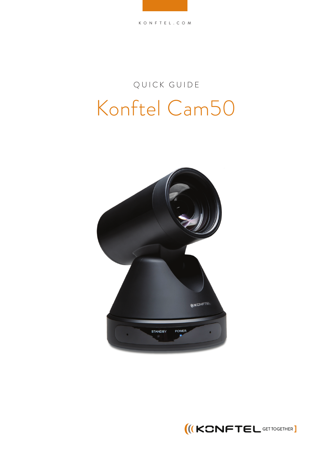## QUICK GUIDE Konftel Cam50



**IKONFTEL GETTOGETHER**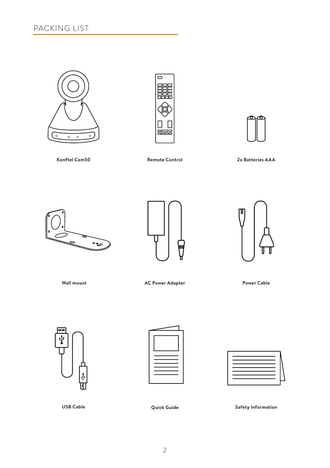





**Konftel Cam50 Remote Control**

**2x Batteries AAA**







**Wall mount**

AC Power Adapter **Power Cable** 







**USB Cable**

**Quick Guide Safety Information**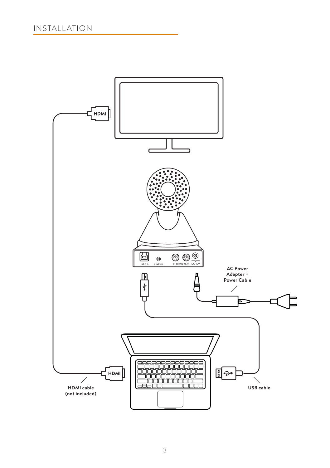